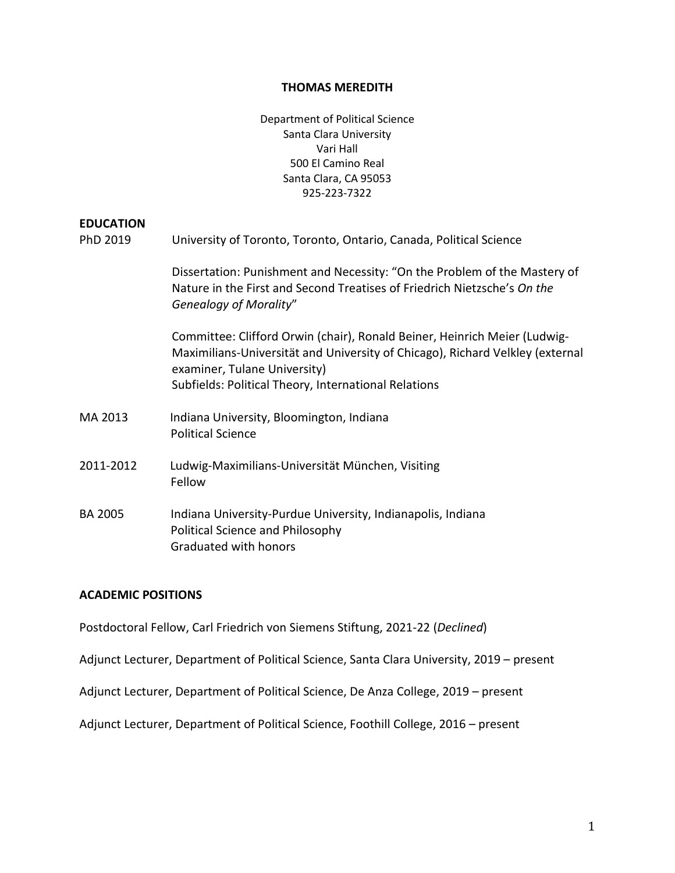#### **THOMAS MEREDITH**

Department of Political Science Santa Clara University Vari Hall 500 El Camino Real Santa Clara, CA 95053 925-223-7322

#### **EDUCATION**

| PhD 2019  | University of Toronto, Toronto, Ontario, Canada, Political Science                                                                                                                                                                                 |
|-----------|----------------------------------------------------------------------------------------------------------------------------------------------------------------------------------------------------------------------------------------------------|
|           | Dissertation: Punishment and Necessity: "On the Problem of the Mastery of<br>Nature in the First and Second Treatises of Friedrich Nietzsche's On the<br><b>Genealogy of Morality"</b>                                                             |
|           | Committee: Clifford Orwin (chair), Ronald Beiner, Heinrich Meier (Ludwig-<br>Maximilians-Universität and University of Chicago), Richard Velkley (external<br>examiner, Tulane University)<br>Subfields: Political Theory, International Relations |
| MA 2013   | Indiana University, Bloomington, Indiana<br><b>Political Science</b>                                                                                                                                                                               |
| 2011-2012 | Ludwig-Maximilians-Universität München, Visiting<br>Fellow                                                                                                                                                                                         |
| BA 2005   | Indiana University-Purdue University, Indianapolis, Indiana<br>Political Science and Philosophy<br>Graduated with honors                                                                                                                           |

## **ACADEMIC POSITIONS**

Postdoctoral Fellow, Carl Friedrich von Siemens Stiftung, 2021-22 (*Declined*)

Adjunct Lecturer, Department of Political Science, Santa Clara University, 2019 – present

Adjunct Lecturer, Department of Political Science, De Anza College, 2019 – present

Adjunct Lecturer, Department of Political Science, Foothill College, 2016 – present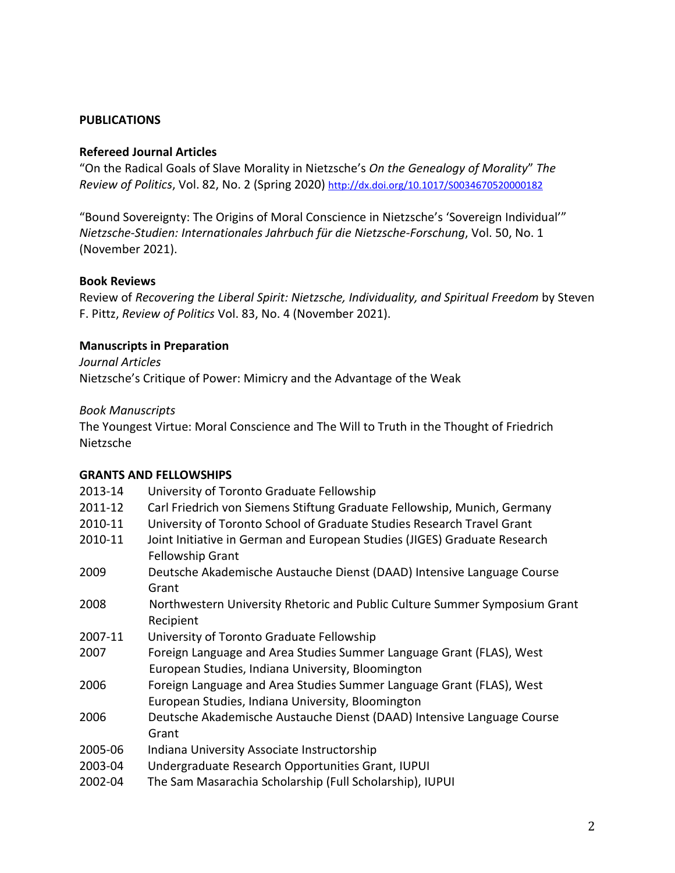# **PUBLICATIONS**

## **Refereed Journal Articles**

"On the Radical Goals of Slave Morality in Nietzsche's *On the Genealogy of Morality*" *The Review of Politics*, Vol. 82, No. 2 (Spring 2020) <http://dx.doi.org/10.1017/S0034670520000182>

"Bound Sovereignty: The Origins of Moral Conscience in Nietzsche's 'Sovereign Individual'" *Nietzsche-Studien: Internationales Jahrbuch für die Nietzsche-Forschung*, Vol. 50, No. 1 (November 2021).

## **Book Reviews**

Review of *Recovering the Liberal Spirit: Nietzsche, Individuality, and Spiritual Freedom* by Steven F. Pittz, *Review of Politics* Vol. 83, No. 4 (November 2021).

# **Manuscripts in Preparation**

*Journal Articles*

Nietzsche's Critique of Power: Mimicry and the Advantage of the Weak

#### *Book Manuscripts*

The Youngest Virtue: Moral Conscience and The Will to Truth in the Thought of Friedrich Nietzsche

## **GRANTS AND FELLOWSHIPS**

| 2013-14 | University of Toronto Graduate Fellowship                                  |
|---------|----------------------------------------------------------------------------|
| 2011-12 | Carl Friedrich von Siemens Stiftung Graduate Fellowship, Munich, Germany   |
| 2010-11 | University of Toronto School of Graduate Studies Research Travel Grant     |
| 2010-11 | Joint Initiative in German and European Studies (JIGES) Graduate Research  |
|         | <b>Fellowship Grant</b>                                                    |
| 2009    | Deutsche Akademische Austauche Dienst (DAAD) Intensive Language Course     |
|         | Grant                                                                      |
| 2008    | Northwestern University Rhetoric and Public Culture Summer Symposium Grant |
|         | Recipient                                                                  |
| 2007-11 | University of Toronto Graduate Fellowship                                  |
| 2007    | Foreign Language and Area Studies Summer Language Grant (FLAS), West       |
|         | European Studies, Indiana University, Bloomington                          |
| 2006    | Foreign Language and Area Studies Summer Language Grant (FLAS), West       |
|         | European Studies, Indiana University, Bloomington                          |
| 2006    | Deutsche Akademische Austauche Dienst (DAAD) Intensive Language Course     |
|         | Grant                                                                      |
| 2005-06 | Indiana University Associate Instructorship                                |
| 2003-04 | Undergraduate Research Opportunities Grant, IUPUI                          |
| 2002-04 | The Sam Masarachia Scholarship (Full Scholarship), IUPUI                   |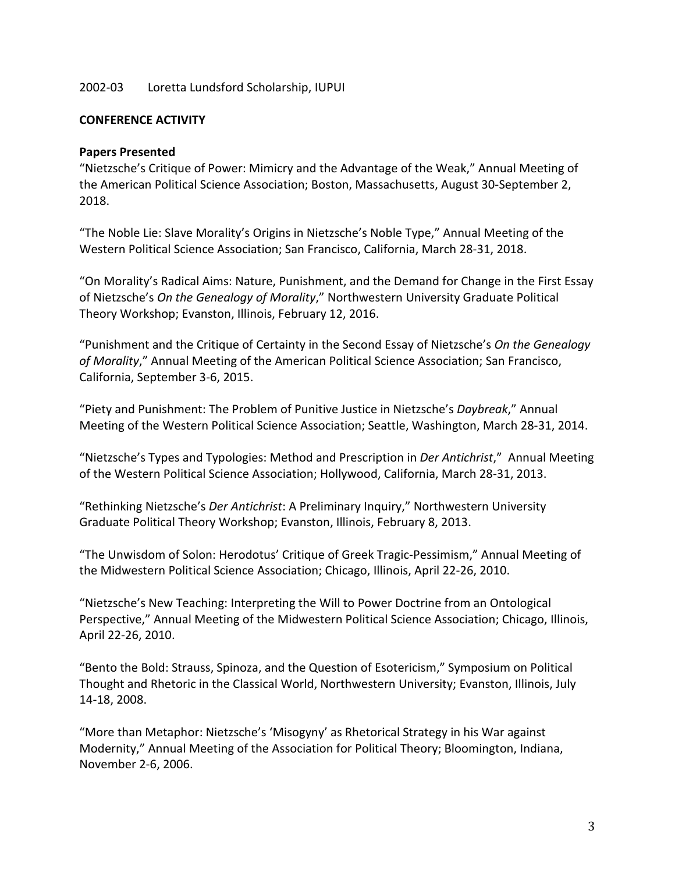# 2002-03 Loretta Lundsford Scholarship, IUPUI

#### **CONFERENCE ACTIVITY**

## **Papers Presented**

"Nietzsche's Critique of Power: Mimicry and the Advantage of the Weak," Annual Meeting of the American Political Science Association; Boston, Massachusetts, August 30-September 2, 2018.

"The Noble Lie: Slave Morality's Origins in Nietzsche's Noble Type," Annual Meeting of the Western Political Science Association; San Francisco, California, March 28-31, 2018.

"On Morality's Radical Aims: Nature, Punishment, and the Demand for Change in the First Essay of Nietzsche's *On the Genealogy of Morality*," Northwestern University Graduate Political Theory Workshop; Evanston, Illinois, February 12, 2016.

"Punishment and the Critique of Certainty in the Second Essay of Nietzsche's *On the Genealogy of Morality*," Annual Meeting of the American Political Science Association; San Francisco, California, September 3-6, 2015.

"Piety and Punishment: The Problem of Punitive Justice in Nietzsche's *Daybreak*," Annual Meeting of the Western Political Science Association; Seattle, Washington, March 28-31, 2014.

"Nietzsche's Types and Typologies: Method and Prescription in *Der Antichrist*," Annual Meeting of the Western Political Science Association; Hollywood, California, March 28-31, 2013.

"Rethinking Nietzsche's *Der Antichrist*: A Preliminary Inquiry," Northwestern University Graduate Political Theory Workshop; Evanston, Illinois, February 8, 2013.

"The Unwisdom of Solon: Herodotus' Critique of Greek Tragic-Pessimism," Annual Meeting of the Midwestern Political Science Association; Chicago, Illinois, April 22-26, 2010.

"Nietzsche's New Teaching: Interpreting the Will to Power Doctrine from an Ontological Perspective," Annual Meeting of the Midwestern Political Science Association; Chicago, Illinois, April 22-26, 2010.

"Bento the Bold: Strauss, Spinoza, and the Question of Esotericism," Symposium on Political Thought and Rhetoric in the Classical World, Northwestern University; Evanston, Illinois, July 14-18, 2008.

"More than Metaphor: Nietzsche's 'Misogyny' as Rhetorical Strategy in his War against Modernity," Annual Meeting of the Association for Political Theory; Bloomington, Indiana, November 2-6, 2006.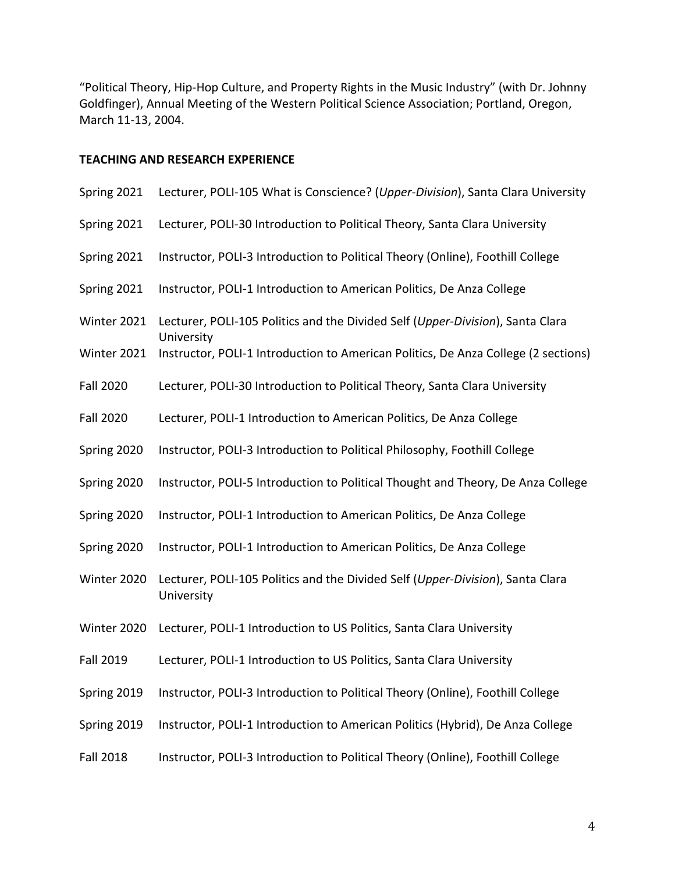"Political Theory, Hip-Hop Culture, and Property Rights in the Music Industry" (with Dr. Johnny Goldfinger), Annual Meeting of the Western Political Science Association; Portland, Oregon, March 11-13, 2004.

# **TEACHING AND RESEARCH EXPERIENCE**

| Spring 2021      | Lecturer, POLI-105 What is Conscience? (Upper-Division), Santa Clara University              |
|------------------|----------------------------------------------------------------------------------------------|
| Spring 2021      | Lecturer, POLI-30 Introduction to Political Theory, Santa Clara University                   |
| Spring 2021      | Instructor, POLI-3 Introduction to Political Theory (Online), Foothill College               |
| Spring 2021      | Instructor, POLI-1 Introduction to American Politics, De Anza College                        |
| Winter 2021      | Lecturer, POLI-105 Politics and the Divided Self (Upper-Division), Santa Clara<br>University |
| Winter 2021      | Instructor, POLI-1 Introduction to American Politics, De Anza College (2 sections)           |
| <b>Fall 2020</b> | Lecturer, POLI-30 Introduction to Political Theory, Santa Clara University                   |
| <b>Fall 2020</b> | Lecturer, POLI-1 Introduction to American Politics, De Anza College                          |
| Spring 2020      | Instructor, POLI-3 Introduction to Political Philosophy, Foothill College                    |
| Spring 2020      | Instructor, POLI-5 Introduction to Political Thought and Theory, De Anza College             |
| Spring 2020      | Instructor, POLI-1 Introduction to American Politics, De Anza College                        |
| Spring 2020      | Instructor, POLI-1 Introduction to American Politics, De Anza College                        |
| Winter 2020      | Lecturer, POLI-105 Politics and the Divided Self (Upper-Division), Santa Clara<br>University |
| Winter 2020      | Lecturer, POLI-1 Introduction to US Politics, Santa Clara University                         |
| <b>Fall 2019</b> | Lecturer, POLI-1 Introduction to US Politics, Santa Clara University                         |
| Spring 2019      | Instructor, POLI-3 Introduction to Political Theory (Online), Foothill College               |
| Spring 2019      | Instructor, POLI-1 Introduction to American Politics (Hybrid), De Anza College               |
| <b>Fall 2018</b> | Instructor, POLI-3 Introduction to Political Theory (Online), Foothill College               |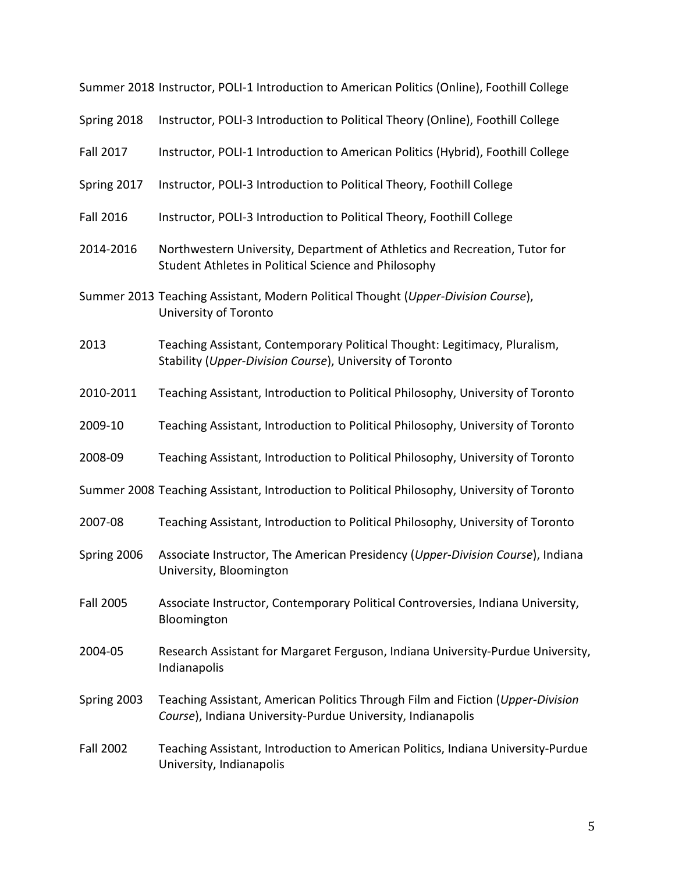Summer 2018 Instructor, POLI-1 Introduction to American Politics (Online), Foothill College Spring 2018 Instructor, POLI-3 Introduction to Political Theory (Online), Foothill College Fall 2017 Instructor, POLI-1 Introduction to American Politics (Hybrid), Foothill College Spring 2017 Instructor, POLI-3 Introduction to Political Theory, Foothill College Fall 2016 Instructor, POLI-3 Introduction to Political Theory, Foothill College 2014-2016 Northwestern University, Department of Athletics and Recreation, Tutor for Student Athletes in Political Science and Philosophy Summer 2013 Teaching Assistant, Modern Political Thought (*Upper-Division Course*), University of Toronto 2013 Teaching Assistant, Contemporary Political Thought: Legitimacy, Pluralism, Stability (*Upper-Division Course*), University of Toronto 2010-2011 Teaching Assistant, Introduction to Political Philosophy, University of Toronto 2009-10 Teaching Assistant, Introduction to Political Philosophy, University of Toronto 2008-09 Teaching Assistant, Introduction to Political Philosophy, University of Toronto Summer 2008 Teaching Assistant, Introduction to Political Philosophy, University of Toronto 2007-08 Teaching Assistant, Introduction to Political Philosophy, University of Toronto Spring 2006 Associate Instructor, The American Presidency (*Upper-Division Course*), Indiana University, Bloomington Fall 2005 Associate Instructor, Contemporary Political Controversies, Indiana University, Bloomington 2004-05 Research Assistant for Margaret Ferguson, Indiana University-Purdue University, Indianapolis Spring 2003 Teaching Assistant, American Politics Through Film and Fiction (*Upper-Division Course*), Indiana University-Purdue University, Indianapolis Fall 2002 Teaching Assistant, Introduction to American Politics, Indiana University-Purdue University, Indianapolis